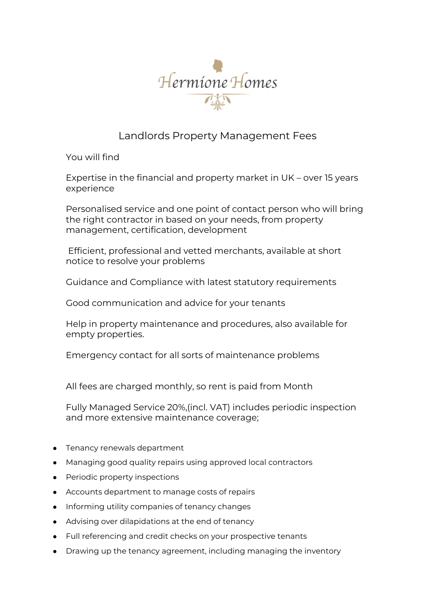

## Landlords Property Management Fees

You will find

Expertise in the financial and property market in UK – over 15 years experience

Personalised service and one point of contact person who will bring the right contractor in based on your needs, from property management, certification, development

Efficient, professional and vetted merchants, available at short notice to resolve your problems

Guidance and Compliance with latest statutory requirements

Good communication and advice for your tenants

Help in property maintenance and procedures, also available for empty properties.

Emergency contact for all sorts of maintenance problems

All fees are charged monthly, so rent is paid from Month

Fully Managed Service 20%,(incl. VAT) includes periodic inspection and more extensive maintenance coverage;

- Tenancy renewals department
- Managing good quality repairs using approved local contractors
- Periodic property inspections
- Accounts department to manage costs of repairs
- Informing utility companies of tenancy changes
- Advising over dilapidations at the end of tenancy
- Full referencing and credit checks on your prospective tenants
- Drawing up the tenancy agreement, including managing the inventory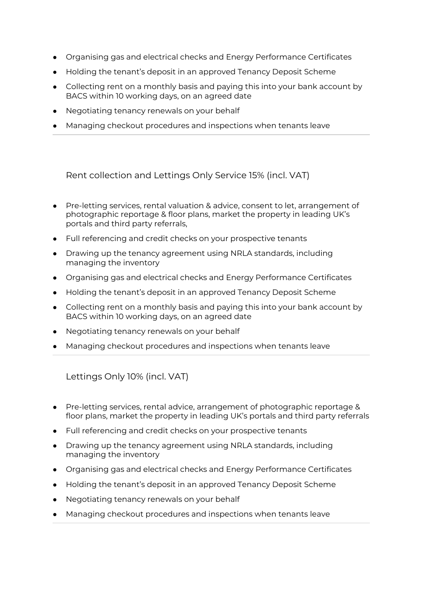- Organising gas and electrical checks and Energy Performance Certificates
- Holding the tenant's deposit in an approved Tenancy Deposit Scheme
- Collecting rent on a monthly basis and paying this into your bank account by BACS within 10 working days, on an agreed date
- Negotiating tenancy renewals on your behalf
- Managing checkout procedures and inspections when tenants leave

Rent collection and Lettings Only Service 15% (incl. VAT)

- Pre-letting services, rental valuation & advice, consent to let, arrangement of photographic reportage & floor plans, market the property in leading UK's portals and third party referrals,
- Full referencing and credit checks on your prospective tenants
- Drawing up the tenancy agreement using NRLA standards, including managing the inventory
- Organising gas and electrical checks and Energy Performance Certificates
- Holding the tenant's deposit in an approved Tenancy Deposit Scheme
- Collecting rent on a monthly basis and paying this into your bank account by BACS within 10 working days, on an agreed date
- Negotiating tenancy renewals on your behalf
- Managing checkout procedures and inspections when tenants leave

Lettings Only 10% (incl. VAT)

- Pre-letting services, rental advice, arrangement of photographic reportage & floor plans, market the property in leading UK's portals and third party referrals
- Full referencing and credit checks on your prospective tenants
- Drawing up the tenancy agreement using NRLA standards, including managing the inventory
- Organising gas and electrical checks and Energy Performance Certificates
- Holding the tenant's deposit in an approved Tenancy Deposit Scheme
- Negotiating tenancy renewals on your behalf
- Managing checkout procedures and inspections when tenants leave